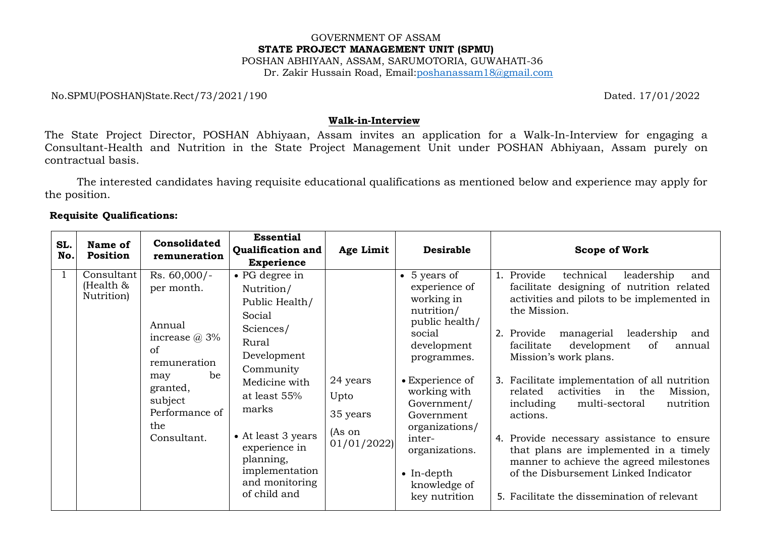### GOVERNMENT OF ASSAM **STATE PROJECT MANAGEMENT UNIT (SPMU)** POSHAN ABHIYAAN, ASSAM, SARUMOTORIA, GUWAHATI-36 Dr. Zakir Hussain Road, Email[:poshanassam18@gmail.com](mailto:poshanassam18@gmail.com)

No.SPMU(POSHAN)State.Rect/73/2021/190 Dated. 17/01/2022

#### **Walk-in-Interview**

The State Project Director, POSHAN Abhiyaan, Assam invites an application for a Walk-In-Interview for engaging a Consultant-Health and Nutrition in the State Project Management Unit under POSHAN Abhiyaan, Assam purely on contractual basis.

The interested candidates having requisite educational qualifications as mentioned below and experience may apply for the position.

# **Requisite Qualifications:**

|            |                                          | Consolidated                                                                                                                                                | <b>Essential</b>                                                                                                                                                                                                                                             |                                                      | <b>Desirable</b>                                                                                                                                                                                                                                                                         |                                                                                                                                                                                                                                                                                                                                                                                                                                                                                                                                                                                                                                                                 |
|------------|------------------------------------------|-------------------------------------------------------------------------------------------------------------------------------------------------------------|--------------------------------------------------------------------------------------------------------------------------------------------------------------------------------------------------------------------------------------------------------------|------------------------------------------------------|------------------------------------------------------------------------------------------------------------------------------------------------------------------------------------------------------------------------------------------------------------------------------------------|-----------------------------------------------------------------------------------------------------------------------------------------------------------------------------------------------------------------------------------------------------------------------------------------------------------------------------------------------------------------------------------------------------------------------------------------------------------------------------------------------------------------------------------------------------------------------------------------------------------------------------------------------------------------|
| SL.<br>No. | Name of<br>Position                      | remuneration                                                                                                                                                | <b>Qualification and</b>                                                                                                                                                                                                                                     | Age Limit                                            |                                                                                                                                                                                                                                                                                          | Scope of Work                                                                                                                                                                                                                                                                                                                                                                                                                                                                                                                                                                                                                                                   |
|            |                                          |                                                                                                                                                             | <b>Experience</b>                                                                                                                                                                                                                                            |                                                      |                                                                                                                                                                                                                                                                                          |                                                                                                                                                                                                                                                                                                                                                                                                                                                                                                                                                                                                                                                                 |
|            | Consultant<br>(Health $\&$<br>Nutrition) | $Rs. 60,000/-$<br>per month.<br>Annual<br>increase $@3\%$<br>of<br>remuneration<br>be<br>may<br>granted,<br>subject<br>Performance of<br>the<br>Consultant. | • PG degree in<br>Nutrition/<br>Public Health/<br>Social<br>Sciences/<br>Rural<br>Development<br>Community<br>Medicine with<br>at least 55%<br>marks<br>• At least 3 years<br>experience in<br>planning,<br>implementation<br>and monitoring<br>of child and | 24 years<br>Upto<br>35 years<br>(As on<br>01/01/2022 | • 5 years of<br>experience of<br>working in<br>nutrition/<br>public health/<br>social<br>development<br>programmes.<br>• Experience of<br>working with<br>Government/<br>Government<br>organizations/<br>inter-<br>organizations.<br>$\bullet$ In-depth<br>knowledge of<br>key nutrition | 1. Provide<br>technical<br>leadership<br>and<br>facilitate designing of nutrition related<br>activities and pilots to be implemented in<br>the Mission.<br>managerial<br>leadership<br>2. Provide<br>and<br>facilitate<br>development<br>of<br>annual<br>Mission's work plans.<br>3. Facilitate implementation of all nutrition<br>activities in<br>the<br>related<br>Mission,<br>multi-sectoral<br>including<br>nutrition<br>actions.<br>4. Provide necessary assistance to ensure<br>that plans are implemented in a timely<br>manner to achieve the agreed milestones<br>of the Disbursement Linked Indicator<br>5. Facilitate the dissemination of relevant |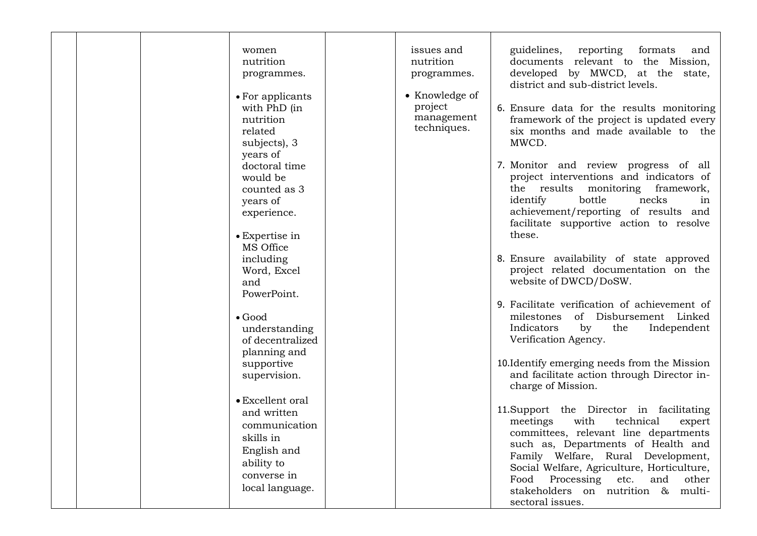|  | women<br>nutrition<br>programmes.<br>• For applicants<br>with PhD (in<br>nutrition<br>related<br>subjects), 3<br>years of<br>doctoral time<br>would be<br>counted as 3<br>years of<br>experience.<br>• Expertise in<br>MS Office<br>including<br>Word, Excel<br>and<br>PowerPoint.<br>$\bullet$ Good<br>understanding<br>of decentralized<br>planning and<br>supportive<br>supervision.<br>• Excellent oral<br>and written<br>communication<br>skills in<br>English and | issues and<br>nutrition<br>programmes.<br>• Knowledge of<br>project<br>management<br>techniques. | guidelines, reporting formats<br>and<br>documents relevant to the Mission,<br>developed by MWCD, at the state,<br>district and sub-district levels.<br>6. Ensure data for the results monitoring<br>framework of the project is updated every<br>six months and made available to the<br>MWCD.<br>7. Monitor and review progress of all<br>project interventions and indicators of<br>the results monitoring framework,<br>bottle<br>identify<br>necks<br>in<br>achievement/reporting of results and<br>facilitate supportive action to resolve<br>these.<br>8. Ensure availability of state approved<br>project related documentation on the<br>website of DWCD/DoSW.<br>9. Facilitate verification of achievement of<br>of Disbursement Linked<br>milestones<br>Indicators<br>Independent<br>by<br>the<br>Verification Agency.<br>10. Identify emerging needs from the Mission<br>and facilitate action through Director in-<br>charge of Mission.<br>11. Support the Director in facilitating<br>meetings<br>with<br>technical<br>expert<br>committees, relevant line departments<br>such as, Departments of Health and |
|--|-------------------------------------------------------------------------------------------------------------------------------------------------------------------------------------------------------------------------------------------------------------------------------------------------------------------------------------------------------------------------------------------------------------------------------------------------------------------------|--------------------------------------------------------------------------------------------------|----------------------------------------------------------------------------------------------------------------------------------------------------------------------------------------------------------------------------------------------------------------------------------------------------------------------------------------------------------------------------------------------------------------------------------------------------------------------------------------------------------------------------------------------------------------------------------------------------------------------------------------------------------------------------------------------------------------------------------------------------------------------------------------------------------------------------------------------------------------------------------------------------------------------------------------------------------------------------------------------------------------------------------------------------------------------------------------------------------------------------|
|  | ability to<br>converse in<br>local language.                                                                                                                                                                                                                                                                                                                                                                                                                            |                                                                                                  | Family Welfare, Rural Development,<br>Social Welfare, Agriculture, Horticulture,<br>Food Processing<br>etc.<br>and<br>other<br>stakeholders on nutrition & multi-<br>sectoral issues.                                                                                                                                                                                                                                                                                                                                                                                                                                                                                                                                                                                                                                                                                                                                                                                                                                                                                                                                      |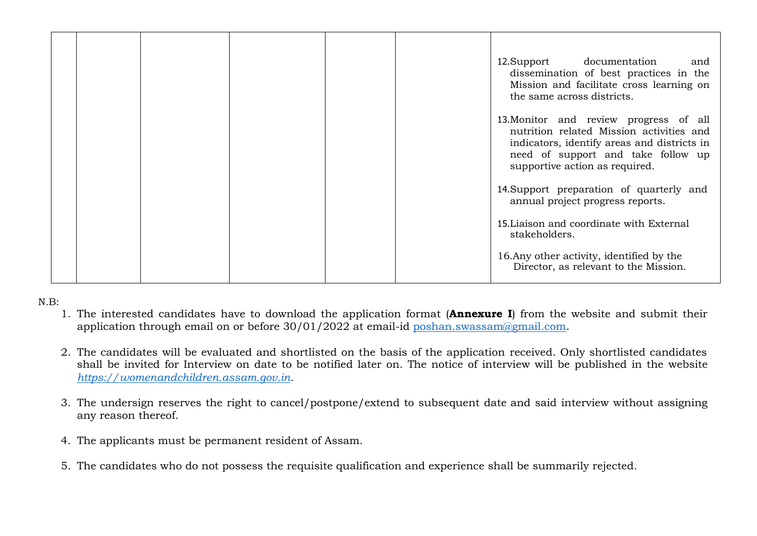|  |  |  | 12. Support documentation<br>and<br>dissemination of best practices in the<br>Mission and facilitate cross learning on<br>the same across districts.                                                      |
|--|--|--|-----------------------------------------------------------------------------------------------------------------------------------------------------------------------------------------------------------|
|  |  |  | 13. Monitor and review progress of all<br>nutrition related Mission activities and<br>indicators, identify areas and districts in<br>need of support and take follow up<br>supportive action as required. |
|  |  |  | 14. Support preparation of quarterly and<br>annual project progress reports.                                                                                                                              |
|  |  |  | 15. Liaison and coordinate with External<br>stakeholders.                                                                                                                                                 |
|  |  |  | 16. Any other activity, identified by the<br>Director, as relevant to the Mission.                                                                                                                        |

N.B:

- 1. The interested candidates have to download the application format (**Annexure I**) from the website and submit their application through email on or before  $30/01/2022$  at email-id [poshan.swassam@gmail.com.](mailto:poshan.swassam@gmail.com)
- 2. The candidates will be evaluated and shortlisted on the basis of the application received. Only shortlisted candidates shall be invited for Interview on date to be notified later on. The notice of interview will be published in the website *[https://womenandchildren.assam.gov.in.](https://womenandchildren.assam.gov.in/)*
- 3. The undersign reserves the right to cancel/postpone/extend to subsequent date and said interview without assigning any reason thereof.
- 4. The applicants must be permanent resident of Assam.
- 5. The candidates who do not possess the requisite qualification and experience shall be summarily rejected.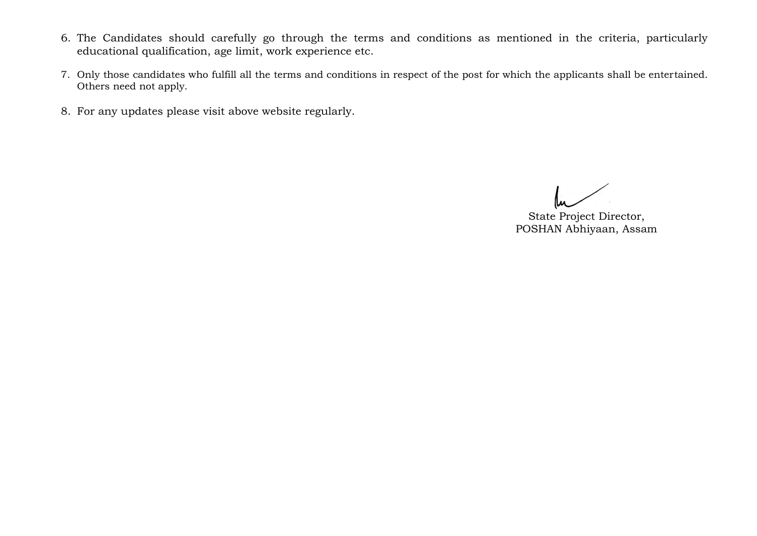- 6. The Candidates should carefully go through the terms and conditions as mentioned in the criteria, particularly educational qualification, age limit, work experience etc.
- 7. Only those candidates who fulfill all the terms and conditions in respect of the post for which the applicants shall be entertained. Others need not apply.
- 8. For any updates please visit above website regularly.

State Project Director, POSHAN Abhiyaan, Assam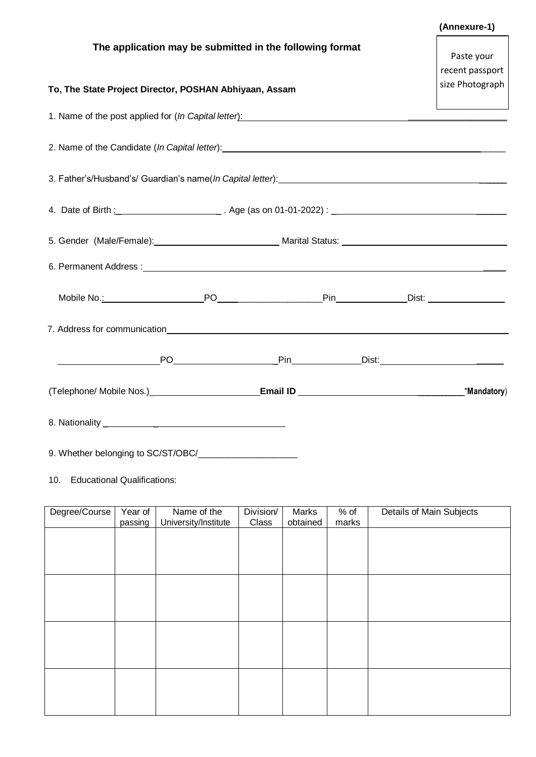|                                                                                                                                                                                                                                |  |  |  |  | (Annexure-1)    |  |  |  |  |
|--------------------------------------------------------------------------------------------------------------------------------------------------------------------------------------------------------------------------------|--|--|--|--|-----------------|--|--|--|--|
| The application may be submitted in the following format                                                                                                                                                                       |  |  |  |  | Paste your      |  |  |  |  |
|                                                                                                                                                                                                                                |  |  |  |  | recent passport |  |  |  |  |
| To, The State Project Director, POSHAN Abhiyaan, Assam                                                                                                                                                                         |  |  |  |  | size Photograph |  |  |  |  |
| 1. Name of the post applied for (In Capital letter): Manual Communication of the post applied for (In Capital letter):                                                                                                         |  |  |  |  |                 |  |  |  |  |
|                                                                                                                                                                                                                                |  |  |  |  |                 |  |  |  |  |
|                                                                                                                                                                                                                                |  |  |  |  |                 |  |  |  |  |
|                                                                                                                                                                                                                                |  |  |  |  |                 |  |  |  |  |
|                                                                                                                                                                                                                                |  |  |  |  |                 |  |  |  |  |
| 6. Permanent Address : 1988 and 2008 and 2008 and 2008 and 2008 and 2008 and 2008 and 2008 and 2008 and 2008 and 2008 and 2008 and 2008 and 2008 and 2008 and 2008 and 2008 and 2008 and 2008 and 2008 and 2008 and 2008 and 2 |  |  |  |  |                 |  |  |  |  |
|                                                                                                                                                                                                                                |  |  |  |  |                 |  |  |  |  |
|                                                                                                                                                                                                                                |  |  |  |  |                 |  |  |  |  |
|                                                                                                                                                                                                                                |  |  |  |  |                 |  |  |  |  |
|                                                                                                                                                                                                                                |  |  |  |  |                 |  |  |  |  |
|                                                                                                                                                                                                                                |  |  |  |  |                 |  |  |  |  |

9. Whether belonging to SC/ST/OBC/\_\_\_\_\_\_\_\_\_\_\_\_\_\_\_\_\_\_\_\_

10. Educational Qualifications:

| Degree/Course | Year of | Name of the          | Division/ | Marks    | $%$ of | Details of Main Subjects |
|---------------|---------|----------------------|-----------|----------|--------|--------------------------|
|               | passing | University/Institute | Class     | obtained | marks  |                          |
|               |         |                      |           |          |        |                          |
|               |         |                      |           |          |        |                          |
|               |         |                      |           |          |        |                          |
|               |         |                      |           |          |        |                          |
|               |         |                      |           |          |        |                          |
|               |         |                      |           |          |        |                          |
|               |         |                      |           |          |        |                          |
|               |         |                      |           |          |        |                          |
|               |         |                      |           |          |        |                          |
|               |         |                      |           |          |        |                          |
|               |         |                      |           |          |        |                          |
|               |         |                      |           |          |        |                          |
|               |         |                      |           |          |        |                          |
|               |         |                      |           |          |        |                          |
|               |         |                      |           |          |        |                          |
|               |         |                      |           |          |        |                          |